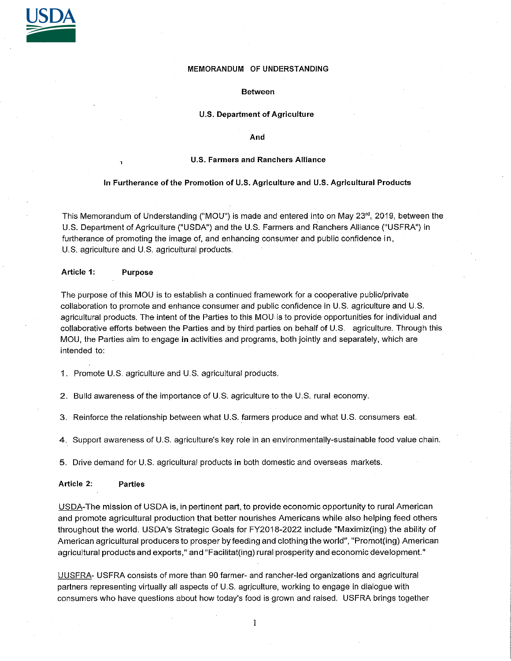

## MEMORANDUM OF UNDERSTANDING

#### **Between**

## **U.S. Department of Agriculture**

## **And**

#### **U.S. Farmers and Ranchers Alliance**

#### **In Furtherance of the Promotion of U.S. Agriculture and U.S. Agricultural Products**

This Memorandum of Understanding ("MOU") is made and entered into on May 23'', 2019, between the U.S. Department of Agriculture ("USDA") and the U.S. Farmers and Ranchers Alliance ("USFRA") in furtherance of promoting the image of, and enhancing consumer and public confidence in, U.S. agriculture and U.S. agricultural products.

# **Article 1: Purpose**

The purpose of this MOU is to establish a continued framework for a cooperative public/private collaboration to promote and enhance consumer and public confidence in U.S. agriculture and U.S. agricultural products. The intent of the Parties to this MOU is to provide opportunities for individual and collaborative efforts between the Parties and by third parties on behalf of U.S. agriculture. Through this MOU, the Parties aim to engage in activities and programs, both jointly and separately, which are intended to:

1. Promote U.S. agriculture and U.S. agricultural products.

2. Build awareness of the importance of U.S. agriculture to the U.S. rural economy.

3. Reinforce the relationship between what U.S. farmers produce and what U.S. consumers eat.

**4.** Support awareness of U.S. agriculture's key role in an environmentally-sustainable food value chain.

5. Drive demand for U.S. agricultural products **in** both domestic and overseas markets.

## **Article 2: Parties**

USDA-The mission of USDA is, in pertinent part, to provide economic opportunity to rural American and promote agricultural production that better nourishes Americans while also helping feed others throughout the world. USDA's Strategic Goals for FY2018-2022 include "Maximiz(ing) the ability of American agricultural producers to prosper by feeding and clothing the world", "Promot(ing) American agricultural products and exports," and "Facilitat(ing) rural prosperity and economic development."

UUSFRA- USFRA consists of more than 90 farmer- and rancher-led organizations and agricultural partners representing virtually all aspects of U.S. agriculture, working to engage in dialogue with consumers who have questions about how today's food is grown and raised. USFRA brings together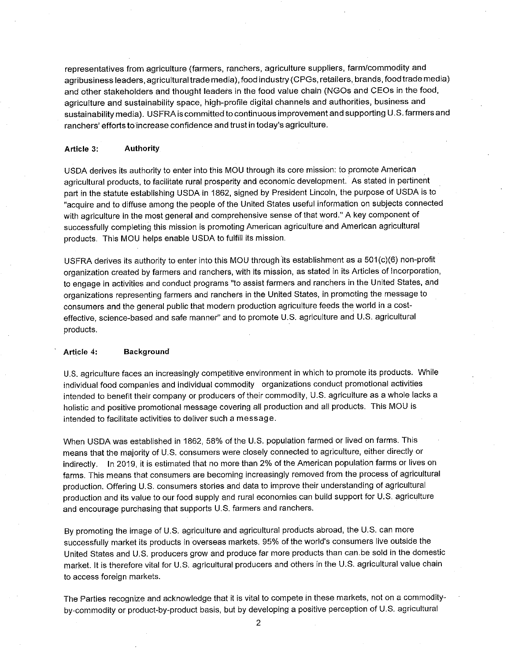representatives from agriculture (farmers, ranchers, agriculture suppliers, farm/commodity and agribusiness leaders, agricultural trade media), food industry (CPGs, retailers, brands, food trade media) and other stakeholders and thought leaders in the food value chain (NGOs and CEOs in the food, agriculture and sustainability space, high-profile digital channels and authorities, business and sustainability media). USFRA is committed to continuous improvement and supporting U.S. farmers and ranchers' efforts to increase confidence and trust in today's agriculture.

### **Article 3: Authority**

USDA derives its authority to enter into this MOU through its core mission: to promote American agricultural products, to facilitate rural prosperity and economic development. As stated in pertinent part in the statute establishing USDA in 1862, signed by President Lincoln, the purpose of USDA is to "acquire and to diffuse among the people of the United States useful information on subjects connected with agriculture in the most general and comprehensive sense of that word." A key component of successfully completing this mission is promoting American agriculture and American agricultural products. This MOU helps enable USDA to fulfill its mission.

USFRA derives its authority to enter into this MOU through its establishment as a 501(c)(6) non-profit organization created by farmers and ranchers, with its mission, as stated in its Articles of Incorporation, to engage in activities and conduct programs "to assist farmers and ranchers in the United States, and organizations representing farmers and ranchers in the United States, in promoting the message to consumers and the general public that modern production agriculture feeds the world in a costeffective, science-based and safe manner" and to promote U.S. agriculture and U.S. agricultural products.

### **Article 4: Background**

U.S. agriculture faces an increasingly competitive environment in which to promote its products. While individual food companies and individual commodity organizations conduct promotional activities intended to benefit their company or producers of their commodity, U.S. agriculture as a whole lacks a holistic and positive promotional message covering all production and all products. This MOU is intended to facilitate activities to deliver such a message.

When USDA was established in 1862, 58% of the U.S. population farmed or lived on farms. This means that the majority of U.S. consumers were closely connected to agriculture, either directly or indirectly. In 2019, it is estimated that no more than 2% of the American population farms or lives on farms. This means that consumers are becoming increasingly removed from the process of agricultural production. Offering U.S. consumers stories and data to improve their understanding of agricultural production and its value to our food supply and rural economies can build support for U.S. agriculture and encourage purchasing that supports U.S. farmers and ranchers.

By promoting the image of U.S. agriculture and agricultural products abroad, the U.S. can more successfully market its products in overseas markets. 95% of the world's consumers live outside the United States and U.S. producers grow and produce far more products than can.be sold in the domestic market. It is therefore vital for U.S. agricultural producers and others in the U.S. agricultural value chain to access foreign markets.

The Parties recognize and acknowledge that it is vital to compete in these markets, not on a commodityby-commodity or product-by-product basis, but by developing a positive perception of U.S. agricultural

2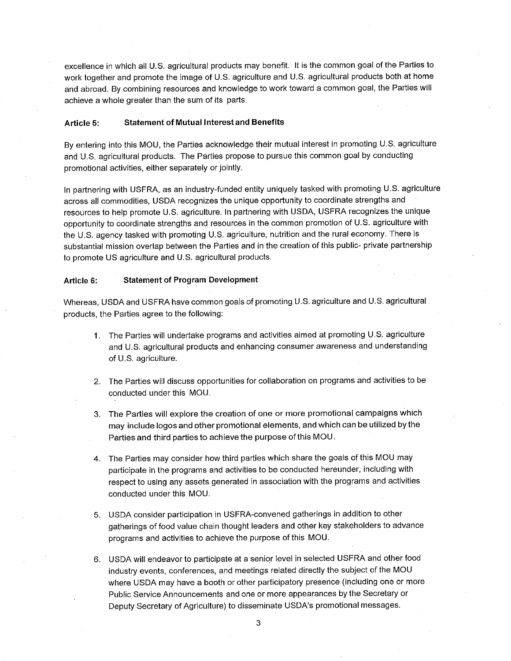excellence in which all U.S. agricultural products may benefit. It is the common goal of the Parties to work together and promote the image of U.S. agriculture and U.S. agricultural products both at home and abroad. By combining resources and knowledge to work toward a common goal, the Parties will achieve a whole greater than the sum of its parts.

## **Article 5: Statement of Mutual Interest and Benefits**

By entering into this MOU, the Parties acknowledge their mutual interest in promoting U.S. agriculture and U.S. agricultural products. The Parties propose to pursue this common goal by conducting promotional activities, either separately or jointly.

In partnering with USFRA, as an industry-funded entity uniquely tasked with promoting U.S. agriculture across all commodities, USDA recognizes the unique opportunity to coordinate strengths and resources to help promote U.S. agriculture. In partnering with USDA, USFRA recognizes the unique opportunity to coordinate strengths and resources in the common promotion of U.S. agriculture with the U.S. agency tasked with promoting U.S. agriculture, nutrition and the rural economy. There is substantial mission overlap between the Parties and in the creation of this public- private partnership to promote US agriculture and U.S. agricultural products.

# **Article 6: Statement of Program Development**

Whereas, USDA and USFRA have common goals of promoting U.S. agriculture and U.S. agricultural products, the Parties agree to the following:

- **1.** The Parties will undertake programs and activities aimed at promoting U.S. agriculture and U.S. agricultural products and enhancing consumer awareness and understanding of U.S. agriculture.
- 2. The Parties will discuss opportunities for collaboration on programs and activities to be conducted under this MOU.
- 3. The Parties will explore the creation of one or more promotional campaigns which may include logos and other promotional elements, and which can be utilized by the Parties and third parties to achieve the purpose of this MOU.
- 4. The Parties may consider how third parties which share the goals of this MOU may participate in the programs and activities to be conducted hereunder, including with respect to using any assets generated in association with the programs and activities conducted under this MOU.
- 5. USDA consider participation in USFRA-convened gatherings in addition to other gatherings of food value chain thought leaders and other key stakeholders to advance programs and activities to achieve the purpose of this MOU.
- 6. USDA will endeavor to participate at a senior level in selected USFRA and other food industry events, conferences, and meetings related directly the subject of the MOU where USDA may have a booth or other participatory presence (including one or more Public Service Announcements and one or more appearances by the Secretary or Deputy Secretary of Agriculture) to disseminate USDA's promotional messages.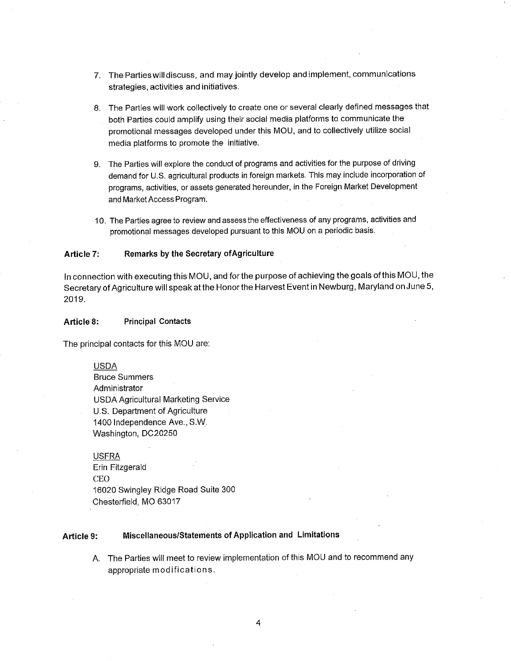- 7. The Parties will discuss, and may jointly develop and implement, communications strategies, activities and initiatives.
- 8. The Parties will work collectively to create one or several clearly defined messages that both Parties could amplify using their social media platforms to communicate the promotional messages developed under this MOU, and to collectively utilize social media platforms to promote the initiative.
- 9. The Parties will explore the conduct of programs and activities for the purpose of driving demand for U.S. agricultural products in foreign markets. This may include incorporation of programs, activities, or assets generated hereunder, in the Foreign Market Development and Market Access Program.
- 10. The Parties agree to review and assess the effectiveness of any programs, activities and promotional messages developed pursuant to this MOU on a periodic basis.

# **Article 7: Remarks by the Secretary of Agriculture**

In connection with executing this MOU, and for the purpose of achieving the goals of this MOU, the Secretary of Agriculture will speak at the Honor the Harvest Event in Newburg, Maryland on June 5, 2019.

# **Article 8: Principal Contacts**

The principal contacts for this MOU are:

#### USDA

Bruce Summers Administrator USDA Agricultural Marketing Service U.S. Department of Agriculture 1400 Independence Ave., S.W. Washington, DC20250

# USFRA

Erin Fitzgerald CEO 16020 Swingley Ridge Road Suite 300 Chesterfield, MO 63017

# **Article 9: Miscellaneous/Statements of Application and Limitations**

A. The Parties will meet to review implementation of this MOU and to recommend any appropriate modifications.